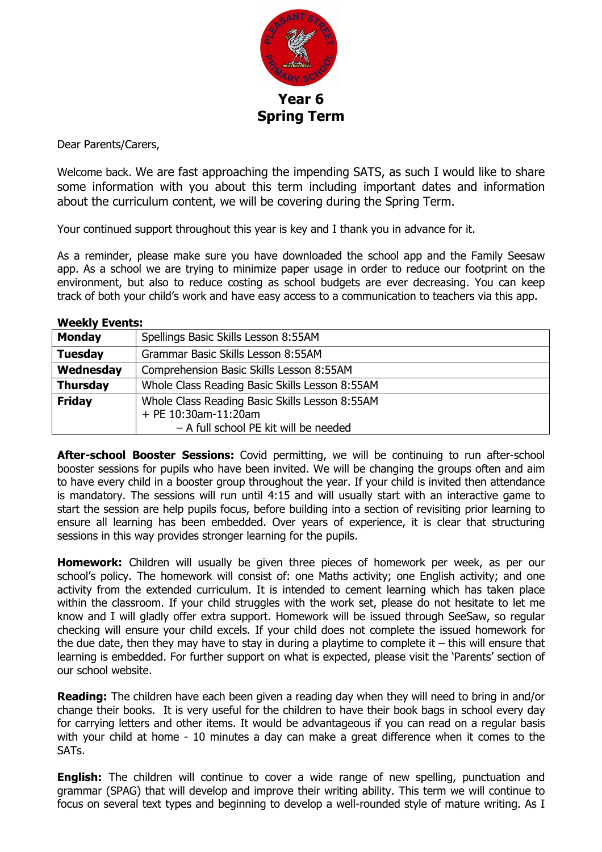

Dear Parents/Carers,

Welcome back. We are fast approaching the impending SATS, as such I would like to share some information with you about this term including important dates and information about the curriculum content, we will be covering during the Spring Term.

Your continued support throughout this year is key and I thank you in advance for it.

As a reminder, please make sure you have downloaded the school app and the Family Seesaw app. As a school we are trying to minimize paper usage in order to reduce our footprint on the environment, but also to reduce costing as school budgets are ever decreasing. You can keep track of both your child's work and have easy access to a communication to teachers via this app.

| <b>ILCOVIA FACIICO</b> |                                                                          |  |
|------------------------|--------------------------------------------------------------------------|--|
| <b>Monday</b>          | Spellings Basic Skills Lesson 8:55AM                                     |  |
| <b>Tuesday</b>         | Grammar Basic Skills Lesson 8:55AM                                       |  |
| Wednesday              | Comprehension Basic Skills Lesson 8:55AM                                 |  |
| <b>Thursday</b>        | Whole Class Reading Basic Skills Lesson 8:55AM                           |  |
| <b>Friday</b>          | Whole Class Reading Basic Skills Lesson 8:55AM<br>$+$ PE 10:30am-11:20am |  |
|                        |                                                                          |  |
|                        | - A full school PE kit will be needed                                    |  |

**Weekly Events:**

After-school Booster Sessions: Covid permitting, we will be continuing to run after-school booster sessions for pupils who have been invited. We will be changing the groups often and aim to have every child in a booster group throughout the year. If your child is invited then attendance is mandatory. The sessions will run until 4:15 and will usually start with an interactive game to start the session are help pupils focus, before building into a section of revisiting prior learning to ensure all learning has been embedded. Over years of experience, it is clear that structuring sessions in this way provides stronger learning for the pupils.

**Homework:** Children will usually be given three pieces of homework per week, as per our school's policy. The homework will consist of: one Maths activity; one English activity; and one activity from the extended curriculum. It is intended to cement learning which has taken place within the classroom. If your child struggles with the work set, please do not hesitate to let me know and I will gladly offer extra support. Homework will be issued through SeeSaw, so regular checking will ensure your child excels. If your child does not complete the issued homework for the due date, then they may have to stay in during a playtime to complete it  $-$  this will ensure that learning is embedded. For further support on what is expected, please visit the 'Parents' section of our school website.

**Reading:** The children have each been given a reading day when they will need to bring in and/or change their books. It is very useful for the children to have their book bags in school every day for carrying letters and other items. It would be advantageous if you can read on a regular basis with your child at home - 10 minutes a day can make a great difference when it comes to the SATs.

**English:** The children will continue to cover a wide range of new spelling, punctuation and grammar (SPAG) that will develop and improve their writing ability. This term we will continue to focus on several text types and beginning to develop a well-rounded style of mature writing. As I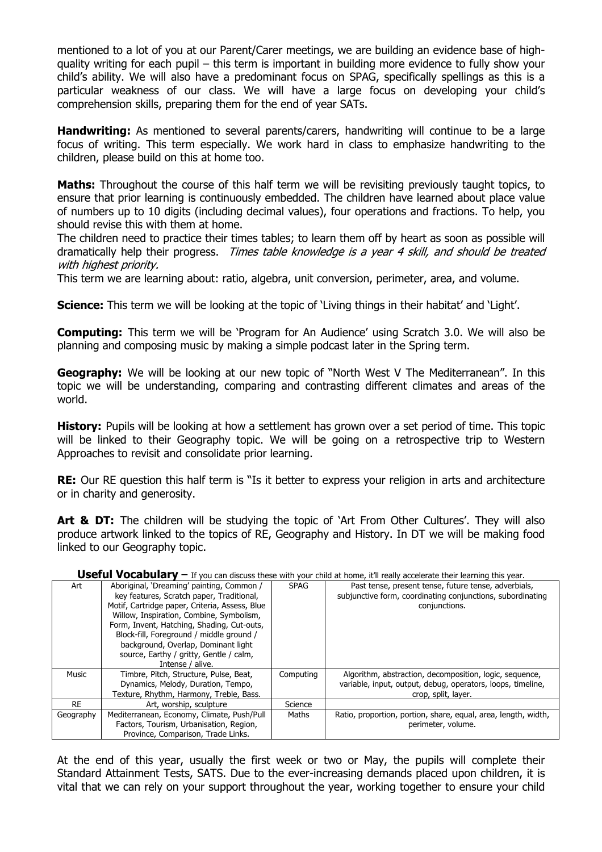mentioned to a lot of you at our Parent/Carer meetings, we are building an evidence base of highquality writing for each pupil – this term is important in building more evidence to fully show your child's ability. We will also have a predominant focus on SPAG, specifically spellings as this is a particular weakness of our class. We will have a large focus on developing your child's comprehension skills, preparing them for the end of year SATs.

**Handwriting:** As mentioned to several parents/carers, handwriting will continue to be a large focus of writing. This term especially. We work hard in class to emphasize handwriting to the children, please build on this at home too.

**Maths:** Throughout the course of this half term we will be revisiting previously taught topics, to ensure that prior learning is continuously embedded. The children have learned about place value of numbers up to 10 digits (including decimal values), four operations and fractions. To help, you should revise this with them at home.

The children need to practice their times tables; to learn them off by heart as soon as possible will dramatically help their progress. Times table knowledge is a year 4 skill, and should be treated with highest priority.

This term we are learning about: ratio, algebra, unit conversion, perimeter, area, and volume.

**Science:** This term we will be looking at the topic of 'Living things in their habitat' and 'Light'.

**Computing:** This term we will be 'Program for An Audience' using Scratch 3.0. We will also be planning and composing music by making a simple podcast later in the Spring term.

**Geography:** We will be looking at our new topic of "North West V The Mediterranean". In this topic we will be understanding, comparing and contrasting different climates and areas of the world.

**History:** Pupils will be looking at how a settlement has grown over a set period of time. This topic will be linked to their Geography topic. We will be going on a retrospective trip to Western Approaches to revisit and consolidate prior learning.

**RE:** Our RE question this half term is "Is it better to express your religion in arts and architecture or in charity and generosity.

Art & DT: The children will be studying the topic of 'Art From Other Cultures'. They will also produce artwork linked to the topics of RE, Geography and History. In DT we will be making food linked to our Geography topic.

| Art       | Aboriginal, 'Dreaming' painting, Common /      | <b>SPAG</b> | Past tense, present tense, future tense, adverbials,           |
|-----------|------------------------------------------------|-------------|----------------------------------------------------------------|
|           | key features, Scratch paper, Traditional,      |             | subjunctive form, coordinating conjunctions, subordinating     |
|           | Motif, Cartridge paper, Criteria, Assess, Blue |             | conjunctions.                                                  |
|           | Willow, Inspiration, Combine, Symbolism,       |             |                                                                |
|           | Form, Invent, Hatching, Shading, Cut-outs,     |             |                                                                |
|           | Block-fill, Foreground / middle ground /       |             |                                                                |
|           | background, Overlap, Dominant light            |             |                                                                |
|           | source, Earthy / gritty, Gentle / calm,        |             |                                                                |
|           | Intense / alive.                               |             |                                                                |
| Music     | Timbre, Pitch, Structure, Pulse, Beat,         | Computing   | Algorithm, abstraction, decomposition, logic, sequence,        |
|           | Dynamics, Melody, Duration, Tempo,             |             | variable, input, output, debug, operators, loops, timeline,    |
|           | Texture, Rhythm, Harmony, Treble, Bass.        |             | crop, split, layer.                                            |
| <b>RE</b> | Art, worship, sculpture                        | Science     |                                                                |
| Geography | Mediterranean, Economy, Climate, Push/Pull     | Maths       | Ratio, proportion, portion, share, equal, area, length, width, |
|           | Factors, Tourism, Urbanisation, Region,        |             | perimeter, volume.                                             |
|           | Province, Comparison, Trade Links.             |             |                                                                |

**Useful Vocabulary** – If you can discuss these with your child at home, it'll really accelerate their learning this year.

At the end of this year, usually the first week or two or May, the pupils will complete their Standard Attainment Tests, SATS. Due to the ever-increasing demands placed upon children, it is vital that we can rely on your support throughout the year, working together to ensure your child